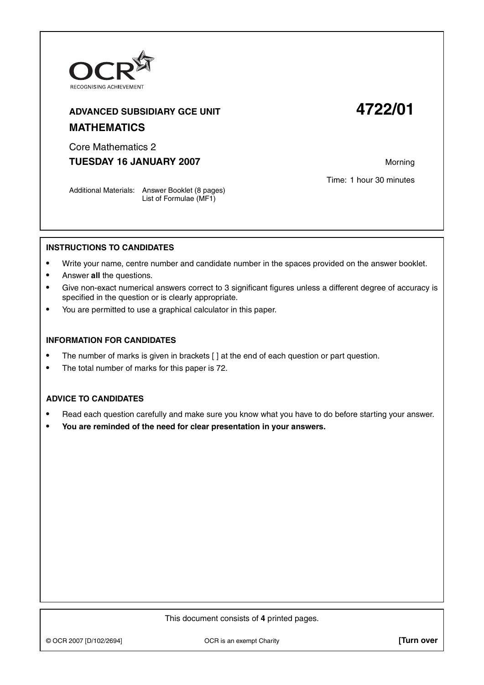

# **ADVANCED SUBSIDIARY GCE UNIT 4722/01 MATHEMATICS**

Core Mathematics 2

**TUESDAY 16 JANUARY 2007** Morning

Time: 1 hour 30 minutes

Additional Materials: Answer Booklet (8 pages) List of Formulae (MF1)

## **INSTRUCTIONS TO CANDIDATES**

- **•** Write your name, centre number and candidate number in the spaces provided on the answer booklet.
- **•** Answer **all** the questions.
- **•** Give non-exact numerical answers correct to 3 significant figures unless a different degree of accuracy is specified in the question or is clearly appropriate.
- **•** You are permitted to use a graphical calculator in this paper.

#### **INFORMATION FOR CANDIDATES**

- The number of marks is given in brackets [ ] at the end of each question or part question.
- **•** The total number of marks for this paper is 72.

## **ADVICE TO CANDIDATES**

- **•** Read each question carefully and make sure you know what you have to do before starting your answer.
- **• You are reminded of the need for clear presentation in your answers.**

This document consists of **4** printed pages.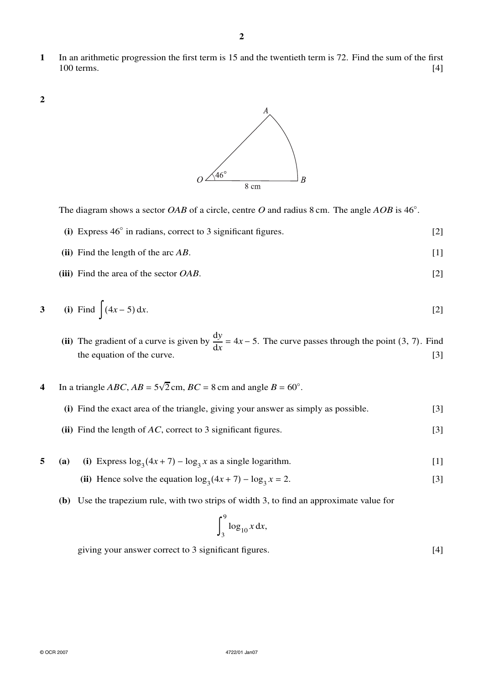- **1** In an arithmetic progression the first term is 15 and the twentieth term is 72. Find the sum of the first  $100$  terms.  $[4]$
- **2**



The diagram shows a sector *OAB* of a circle, centre *O* and radius 8 cm. The angle *AOB* is 46°.

- **(i)** Express 46<sup>°</sup> in radians, correct to 3 significant figures. [2]
- **(ii)** Find the length of the arc *AB*. [1]
- **(iii)** Find the area of the sector *OAB*. [2]

3 (i) Find 
$$
\int (4x - 5) dx
$$
. [2]

- (ii) The gradient of a curve is given by  $\frac{dy}{dx} = 4x 5$ . The curve passes through the point (3, 7). Find the equation of the curve.  $\begin{bmatrix}3\end{bmatrix}$
- **4** In a triangle *ABC*,  $AB = 5\sqrt{2}$  cm,  $BC = 8$  cm and angle  $B = 60^\circ$ .

| (i) Find the exact area of the triangle, giving your answer as simply as possible.<br>(ii) Find the length of $AC$ , correct to 3 significant figures. | [3] |
|--------------------------------------------------------------------------------------------------------------------------------------------------------|-----|
|                                                                                                                                                        |     |

- **5** (a) (i) Express  $\log_3(4x + 7) \log_3 x$  as a single logarithm. [1] (ii) Hence solve the equation  $\log_3(4x + 7) - \log_3 x = 2$ . [3]
	- **(b)** Use the trapezium rule, with two strips of width 3, to find an approximate value for

$$
\int_3^9 \log_{10} x \, \mathrm{d}x,
$$

giving your answer correct to 3 significant figures. [4]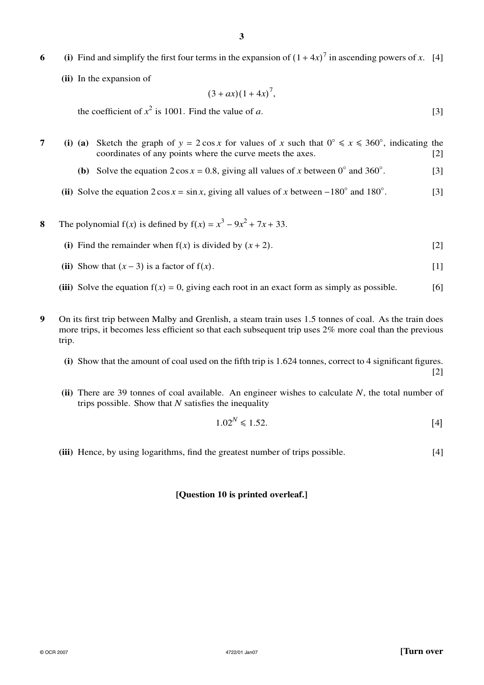- **6** (i) Find and simplify the first four terms in the expansion of  $(1 + 4x)^7$  in ascending powers of *x*. [4]
	- **(ii)** In the expansion of

$$
(3+ax)(1+4x)^7,
$$

the coefficient of  $x^2$  is 1001. Find the value of *a*. [3]

**7** (i) (a) Sketch the graph of  $y = 2 \cos x$  for values of *x* such that  $0° \le x \le 360°$ , indicating the coordinates of any points where the curve meets the axes. [2]

- **(b)** Solve the equation  $2 \cos x = 0.8$ , giving all values of *x* between 0° and 360°. . [3]
- (ii) Solve the equation  $2 \cos x = \sin x$ , giving all values of x between  $-180^\circ$  and  $180^\circ$ . . [3]
- **8** The polynomial  $f(x)$  is defined by  $f(x) = x^3 9x^2 + 7x + 33$ .
	- **(i)** Find the remainder when  $f(x)$  is divided by  $(x + 2)$ . [2]
	- (ii) Show that  $(x-3)$  is a factor of  $f(x)$ . [1]
	- **(iii)** Solve the equation  $f(x) = 0$ , giving each root in an exact form as simply as possible. [6]
- **9** On its first trip between Malby and Grenlish, a steam train uses 1.5 tonnes of coal. As the train does more trips, it becomes less efficient so that each subsequent trip uses 2% more coal than the previous trip.
	- **(i)** Show that the amount of coal used on the fifth trip is 1.624 tonnes, correct to 4 significant figures.
	- **(ii)** There are 39 tonnes of coal available. An engineer wishes to calculate *N*, the total number of trips possible. Show that *N* satisfies the inequality

$$
1.02^N \le 1.52. \tag{4}
$$

**(iii)** Hence, by using logarithms, find the greatest number of trips possible. [4]

### **[Question 10 is printed overleaf.]**

[2]